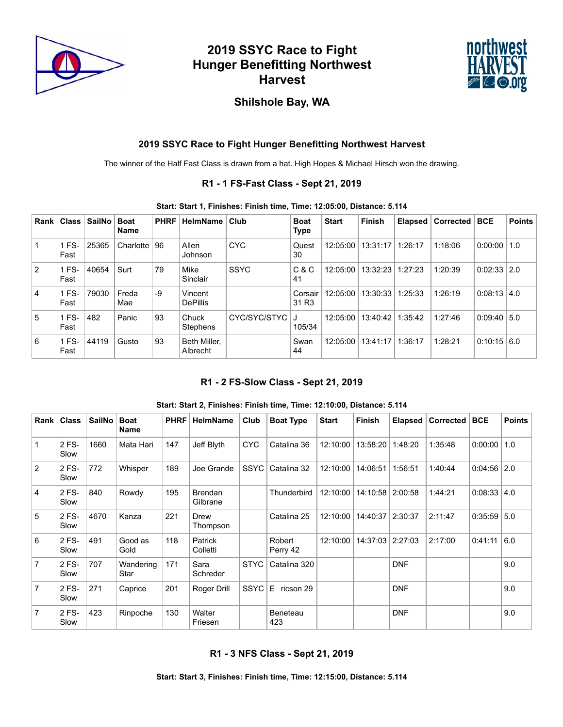

# **2019 SSYC Race to Fight Hunger Benefitting Northwest Harvest**



## **Shilshole Bay, WA**

### **2019 SSYC Race to Fight Hunger Benefitting Northwest Harvest**

The winner of the Half Fast Class is drawn from a hat. High Hopes & Michael Hirsch won the drawing.

#### **R1 - 1 FS-Fast Class - Sept 21, 2019**

#### **Start: Start 1, Finishes: Finish time, Time: 12:05:00, Distance: 5.114**

| Rank           | <b>Class</b>  | <b>SailNo</b> | <b>Boat</b><br><b>Name</b> | <b>PHRF</b> | <b>HelmName</b>            | Club         | <b>Boat</b><br>Type          | <b>Start</b> | <b>Finish</b> | Elapsed | Corrected | ∣ BCE         | <b>Points</b> |
|----------------|---------------|---------------|----------------------------|-------------|----------------------------|--------------|------------------------------|--------------|---------------|---------|-----------|---------------|---------------|
|                | FS-<br>Fast   | 25365         | Charlotte   $96$           |             | Allen<br>Johnson           | <b>CYC</b>   | Quest<br>30                  | 12:05:00     | 13:31:17      | 1:26:17 | 1:18:06   | 0:00:00       | 1.0           |
| $\overline{2}$ | 1 FS-<br>Fast | 40654         | Surt                       | 79          | Mike<br>Sinclair           | <b>SSYC</b>  | C & C<br>41                  | 12:05:00     | 13:32:23      | 1:27:23 | 1:20:39   | 0:02:33       | 2.0           |
| 4              | 1 FS-<br>Fast | 79030         | Freda<br>Mae               | $-9$        | Vincent<br><b>DePillis</b> |              | Corsair<br>31 R <sub>3</sub> | 12:05:00     | 13:30:33      | 1:25:33 | 1:26:19   | 0:08:13       | 4.0           |
| 5              | FS-<br>Fast   | 482           | Panic                      | 93          | Chuck<br><b>Stephens</b>   | CYC/SYC/STYC | 105/34                       | 12:05:00     | 13:40:42      | 1:35:42 | 1:27:46   | 0:09:40       | 5.0           |
| l 6            | FS-<br>Fast   | 44119         | Gusto                      | 93          | Beth Miller.<br>Albrecht   |              | Swan<br>44                   | 12:05:00     | 13:41:17      | 1:36:17 | 1:28:21   | $0:10:15$ 6.0 |               |

#### **R1 - 2 FS-Slow Class - Sept 21, 2019**

#### **Start: Start 2, Finishes: Finish time, Time: 12:10:00, Distance: 5.114**

| Rank           | <b>Class</b>  | <b>SailNo</b> | <b>Boat</b><br><b>Name</b> | <b>PHRF</b> | HelmName                   | Club        | <b>Boat Type</b>   | <b>Start</b> | Finish   | <b>Elapsed</b> | Corrected | <b>BCE</b> | <b>Points</b> |
|----------------|---------------|---------------|----------------------------|-------------|----------------------------|-------------|--------------------|--------------|----------|----------------|-----------|------------|---------------|
| 1              | 2 FS-<br>Slow | 1660          | Mata Hari                  | 147         | Jeff Blyth                 | <b>CYC</b>  | Catalina 36        | 12:10:00     | 13:58:20 | 1:48:20        | 1:35:48   | 0:00:00    | 1.0           |
| 2              | 2 FS-<br>Slow | 772           | Whisper                    | 189         | Joe Grande                 | <b>SSYC</b> | Catalina 32        | 12:10:00     | 14:06:51 | 1:56:51        | 1:40:44   | 0:04:56    | 2.0           |
| 4              | 2 FS-<br>Slow | 840           | Rowdy                      | 195         | <b>Brendan</b><br>Gilbrane |             | Thunderbird        | 12:10:00     | 14:10:58 | 2:00:58        | 1:44:21   | 0:08:33    | 4.0           |
| 5              | 2 FS-<br>Slow | 4670          | Kanza                      | 221         | Drew<br>Thompson           |             | Catalina 25        | 12:10:00     | 14:40:37 | 2:30:37        | 2:11:47   | 0:35:59    | 5.0           |
| 6              | 2 FS-<br>Slow | 491           | Good as<br>Gold            | 118         | Patrick<br>Colletti        |             | Robert<br>Perry 42 | 12:10:00     | 14:37:03 | 2:27:03        | 2:17:00   | 0:41:11    | 6.0           |
| $\overline{7}$ | 2 FS-<br>Slow | 707           | Wandering<br>Star          | 171         | Sara<br>Schreder           | <b>STYC</b> | Catalina 320       |              |          | <b>DNF</b>     |           |            | 9.0           |
| $\overline{7}$ | 2 FS-<br>Slow | 271           | Caprice                    | 201         | Roger Drill                | <b>SSYC</b> | E.<br>ricson 29    |              |          | <b>DNF</b>     |           |            | 9.0           |
| $\overline{7}$ | 2 FS-<br>Slow | 423           | Rinpoche                   | 130         | Walter<br>Friesen          |             | Beneteau<br>423    |              |          | <b>DNF</b>     |           |            | 9.0           |

#### **R1 - 3 NFS Class - Sept 21, 2019**

**Start: Start 3, Finishes: Finish time, Time: 12:15:00, Distance: 5.114**